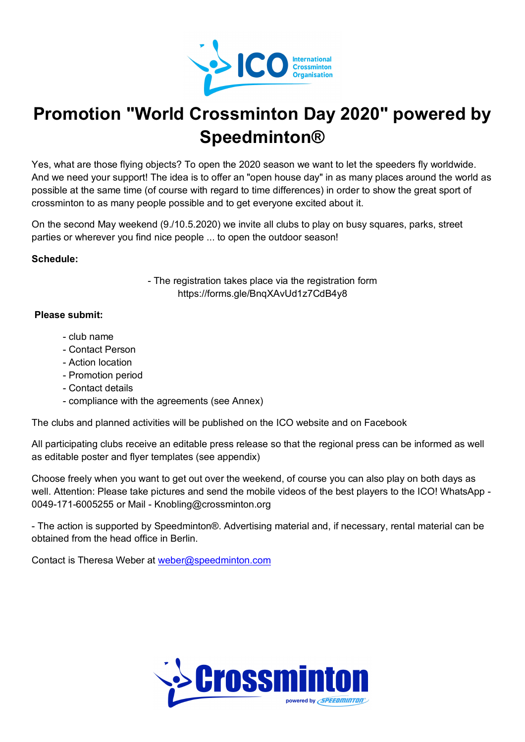

# **Promotion "World Crossminton Day 2020" powered by Speedminton®**

Yes, what are those flying objects? To open the 2020 season we want to let the speeders fly worldwide. And we need your support! The idea is to offer an "open house day" in as many places around the world as possible at the same time (of course with regard to time differences) in order to show the great sport of crossminton to as many people possible and to get everyone excited about it.

On the second May weekend (9./10.5.2020) we invite all clubs to play on busy squares, parks, street parties or wherever you find nice people ... to open the outdoor season!

### **Schedule:**

- The registration takes place via the registration form https://forms.gle/BnqXAvUd1z7CdB4y8

### **Please submit:**

- club name
- Contact Person
- Action location
- Promotion period
- Contact details
- compliance with the agreements (see Annex)

The clubs and planned activities will be published on the ICO website and on Facebook

All participating clubs receive an editable press release so that the regional press can be informed as well as editable poster and flyer templates (see appendix)

Choose freely when you want to get out over the weekend, of course you can also play on both days as well. Attention: Please take pictures and send the mobile videos of the best players to the ICO! WhatsApp - 0049-171-6005255 or Mail - Knobling@crossminton.org

- The action is supported by Speedminton®. Advertising material and, if necessary, rental material can be obtained from the head office in Berlin.

Contact is Theresa Weber at weber@speedminton.com